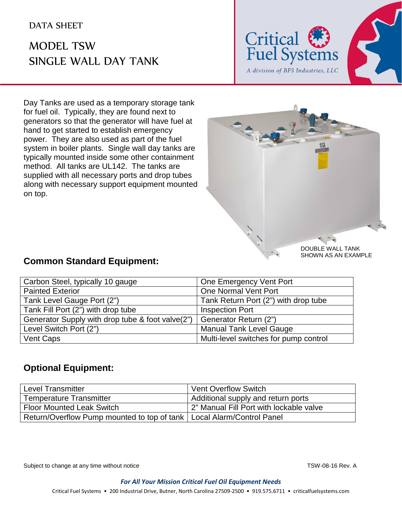## MODEL TSW SINGLE WALL DAY TANK



Day Tanks are used as a temporary storage tank for fuel oil. Typically, they are found next to generators so that the generator will have fuel at hand to get started to establish emergency power. They are also used as part of the fuel system in boiler plants. Single wall day tanks are typically mounted inside some other containment method. All tanks are UL142. The tanks are supplied with all necessary ports and drop tubes along with necessary support equipment mounted on top.



SHOWN AS AN EXAMPLE

## **Common Standard Equipment:**

| Carbon Steel, typically 10 gauge                 | One Emergency Vent Port               |
|--------------------------------------------------|---------------------------------------|
| <b>Painted Exterior</b>                          | One Normal Vent Port                  |
| Tank Level Gauge Port (2")                       | Tank Return Port (2") with drop tube  |
| Tank Fill Port (2") with drop tube               | <b>Inspection Port</b>                |
| Generator Supply with drop tube & foot valve(2") | Generator Return (2")                 |
| Level Switch Port (2")                           | <b>Manual Tank Level Gauge</b>        |
| Vent Caps                                        | Multi-level switches for pump control |

## **Optional Equipment:**

| <b>Level Transmitter</b>                                                | <b>Vent Overflow Switch</b>             |
|-------------------------------------------------------------------------|-----------------------------------------|
| <b>Temperature Transmitter</b>                                          | Additional supply and return ports      |
| <b>Floor Mounted Leak Switch</b>                                        | 2" Manual Fill Port with lockable valve |
| Return/Overflow Pump mounted to top of tank   Local Alarm/Control Panel |                                         |

Subject to change at any time without notice TSW-08-16 Rev. A

*For All Your Mission Critical Fuel Oil Equipment Needs*